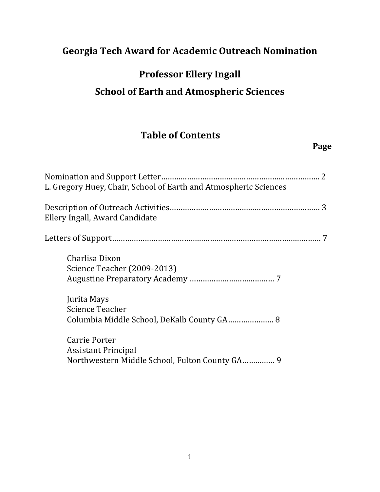## **Georgia Tech Award for Academic Outreach Nomination**

# **Professor Ellery Ingall**

#### **School of Earth and Atmospheric Sciences**

## **Table of Contents**

#### **Page**

| L. Gregory Huey, Chair, School of Earth and Atmospheric Sciences                              |
|-----------------------------------------------------------------------------------------------|
| Ellery Ingall, Award Candidate                                                                |
|                                                                                               |
| Charlisa Dixon<br>Science Teacher (2009-2013)                                                 |
| Jurita Mays<br><b>Science Teacher</b><br>Columbia Middle School, DeKalb County GA 8           |
| Carrie Porter<br><b>Assistant Principal</b><br>Northwestern Middle School, Fulton County GA 9 |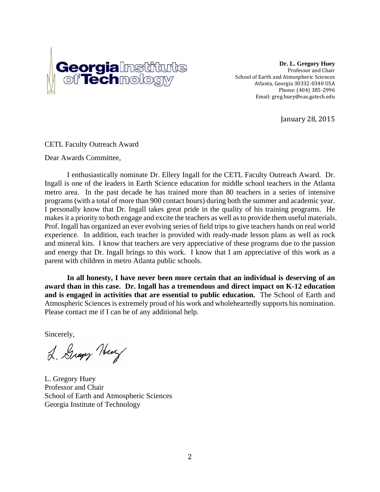

**Dr. L. Gregory Huey**  Professor and Chair School of Earth and Atmospheric Sciences Atlanta, Georgia 30332-0340 USA Phone: (404) 385-2996 Email: greg.huey@eas.gatech.edu

January 28, 2015 

CETL Faculty Outreach Award

Dear Awards Committee,

I enthusiastically nominate Dr. Ellery Ingall for the CETL Faculty Outreach Award. Dr. Ingall is one of the leaders in Earth Science education for middle school teachers in the Atlanta metro area. In the past decade he has trained more than 80 teachers in a series of intensive programs (with a total of more than 900 contact hours) during both the summer and academic year. I personally know that Dr. Ingall takes great pride in the quality of his training programs. He makes it a priority to both engage and excite the teachers as well as to provide them useful materials. Prof. Ingall has organized an ever evolving series of field trips to give teachers hands on real world experience. In addition, each teacher is provided with ready-made lesson plans as well as rock and mineral kits. I know that teachers are very appreciative of these programs due to the passion and energy that Dr. Ingall brings to this work. I know that I am appreciative of this work as a parent with children in metro Atlanta public schools.

**In all honesty, I have never been more certain that an individual is deserving of an award than in this case. Dr. Ingall has a tremendous and direct impact on K-12 education and is engaged in activities that are essential to public education.** The School of Earth and Atmospheric Sciences is extremely proud of his work and wholeheartedly supports his nomination. Please contact me if I can be of any additional help.

Sincerely,

2. Gray Huy

L. Gregory Huey Professor and Chair School of Earth and Atmospheric Sciences Georgia Institute of Technology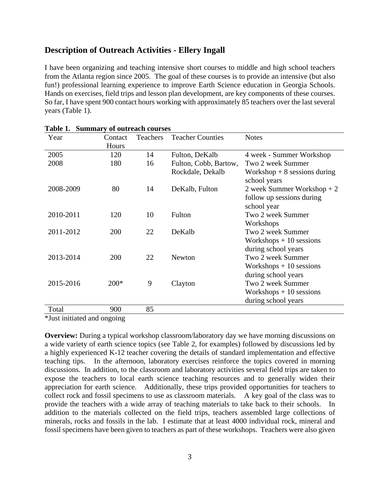#### **Description of Outreach Activities - Ellery Ingall**

I have been organizing and teaching intensive short courses to middle and high school teachers from the Atlanta region since 2005. The goal of these courses is to provide an intensive (but also fun!) professional learning experience to improve Earth Science education in Georgia Schools. Hands on exercises, field trips and lesson plan development, are key components of these courses. So far, I have spent 900 contact hours working with approximately 85 teachers over the last several years (Table 1).

| uviv 1.<br>Year | Contact | Dummary or batt caen courses<br>Teachers | <b>Teacher Counties</b> | <b>Notes</b>                  |
|-----------------|---------|------------------------------------------|-------------------------|-------------------------------|
|                 | Hours   |                                          |                         |                               |
| 2005            | 120     | 14                                       | Fulton, DeKalb          | 4 week - Summer Workshop      |
| 2008            | 180     | 16                                       | Fulton, Cobb, Bartow,   | Two 2 week Summer             |
|                 |         |                                          | Rockdale, Dekalb        | Workshop $+8$ sessions during |
|                 |         |                                          |                         | school years                  |
| 2008-2009       | 80      | 14                                       | DeKalb, Fulton          | 2 week Summer Workshop $+2$   |
|                 |         |                                          |                         | follow up sessions during     |
|                 |         |                                          |                         | school year                   |
| 2010-2011       | 120     | 10                                       | Fulton                  | Two 2 week Summer             |
|                 |         |                                          |                         | Workshops                     |
| 2011-2012       | 200     | 22                                       | DeKalb                  | Two 2 week Summer             |
|                 |         |                                          |                         | $Workshops + 10$ sessions     |
|                 |         |                                          |                         | during school years           |
| 2013-2014       | 200     | 22                                       | Newton                  | Two 2 week Summer             |
|                 |         |                                          |                         | Workshops $+10$ sessions      |
|                 |         |                                          |                         | during school years           |
| 2015-2016       | $200*$  | 9                                        | Clayton                 | Two 2 week Summer             |
|                 |         |                                          |                         | Workshops $+10$ sessions      |
|                 |         |                                          |                         | during school years           |
| Total           | 900     | 85                                       |                         |                               |

\*Just initiated and ongoing

**Overview:** During a typical workshop classroom/laboratory day we have morning discussions on a wide variety of earth science topics (see Table 2, for examples) followed by discussions led by a highly experienced K-12 teacher covering the details of standard implementation and effective teaching tips. In the afternoon, laboratory exercises reinforce the topics covered in morning discussions. In addition, to the classroom and laboratory activities several field trips are taken to expose the teachers to local earth science teaching resources and to generally widen their appreciation for earth science. Additionally, these trips provided opportunities for teachers to collect rock and fossil specimens to use as classroom materials. A key goal of the class was to provide the teachers with a wide array of teaching materials to take back to their schools. In addition to the materials collected on the field trips, teachers assembled large collections of minerals, rocks and fossils in the lab. I estimate that at least 4000 individual rock, mineral and fossil specimens have been given to teachers as part of these workshops. Teachers were also given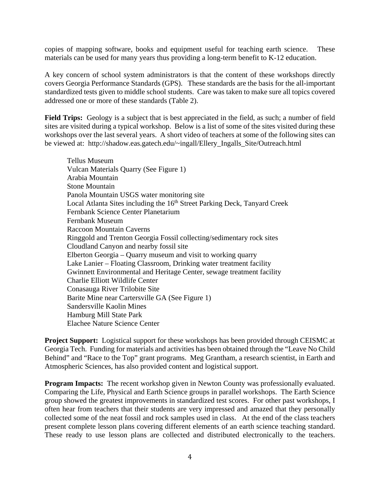copies of mapping software, books and equipment useful for teaching earth science. These materials can be used for many years thus providing a long-term benefit to K-12 education.

A key concern of school system administrators is that the content of these workshops directly covers Georgia Performance Standards (GPS). These standards are the basis for the all-important standardized tests given to middle school students. Care was taken to make sure all topics covered addressed one or more of these standards (Table 2).

**Field Trips:** Geology is a subject that is best appreciated in the field, as such; a number of field sites are visited during a typical workshop. Below is a list of some of the sites visited during these workshops over the last several years. A short video of teachers at some of the following sites can be viewed at: http://shadow.eas.gatech.edu/~ingall/Ellery\_Ingalls\_Site/Outreach.html

Tellus Museum Vulcan Materials Quarry (See Figure 1) Arabia Mountain Stone Mountain Panola Mountain USGS water monitoring site Local Atlanta Sites including the 16<sup>th</sup> Street Parking Deck, Tanyard Creek Fernbank Science Center Planetarium Fernbank Museum Raccoon Mountain Caverns Ringgold and Trenton Georgia Fossil collecting/sedimentary rock sites Cloudland Canyon and nearby fossil site Elberton Georgia – Quarry museum and visit to working quarry Lake Lanier – Floating Classroom, Drinking water treatment facility Gwinnett Environmental and Heritage Center, sewage treatment facility Charlie Elliott Wildlife Center Conasauga River Trilobite Site Barite Mine near Cartersville GA (See Figure 1) Sandersville Kaolin Mines Hamburg Mill State Park Elachee Nature Science Center

**Project Support:** Logistical support for these workshops has been provided through CEISMC at Georgia Tech. Funding for materials and activities has been obtained through the "Leave No Child Behind" and "Race to the Top" grant programs. Meg Grantham, a research scientist, in Earth and Atmospheric Sciences, has also provided content and logistical support.

**Program Impacts:** The recent workshop given in Newton County was professionally evaluated. Comparing the Life, Physical and Earth Science groups in parallel workshops. The Earth Science group showed the greatest improvements in standardized test scores. For other past workshops, I often hear from teachers that their students are very impressed and amazed that they personally collected some of the neat fossil and rock samples used in class. At the end of the class teachers present complete lesson plans covering different elements of an earth science teaching standard. These ready to use lesson plans are collected and distributed electronically to the teachers.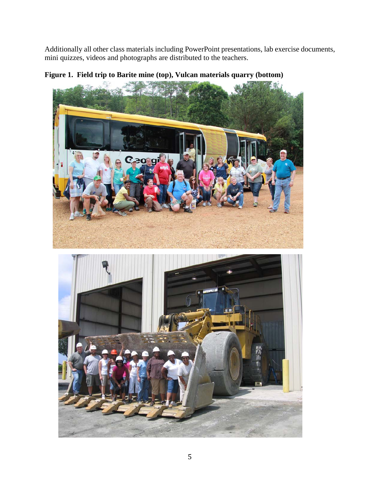Additionally all other class materials including PowerPoint presentations, lab exercise documents, mini quizzes, videos and photographs are distributed to the teachers.



**Figure 1. Field trip to Barite mine (top), Vulcan materials quarry (bottom)**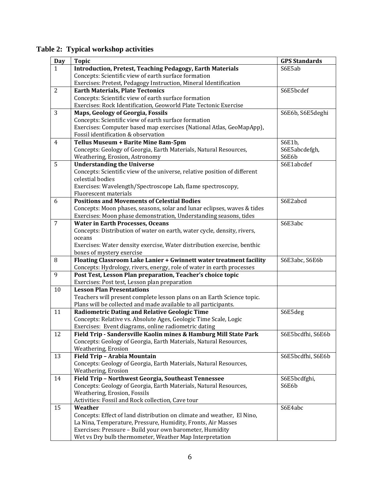| Table 2: Typical workshop activities |  |  |
|--------------------------------------|--|--|
|--------------------------------------|--|--|

| <b>Day</b>     | <b>Topic</b>                                                              | <b>GPS Standards</b> |
|----------------|---------------------------------------------------------------------------|----------------------|
| $\mathbf{1}$   | <b>Introduction, Pretest, Teaching Pedagogy, Earth Materials</b>          | S6E5ab               |
|                | Concepts: Scientific view of earth surface formation                      |                      |
|                | Exercises: Pretest, Pedagogy Instruction, Mineral Identification          |                      |
| 2              | <b>Earth Materials, Plate Tectonics</b>                                   | S6E5bcdef            |
|                | Concepts: Scientific view of earth surface formation                      |                      |
|                | Exercises: Rock Identification, Geoworld Plate Tectonic Exercise          |                      |
| 3              | Maps, Geology of Georgia, Fossils                                         | S6E6b, S6E5deghi     |
|                | Concepts: Scientific view of earth surface formation                      |                      |
|                | Exercises: Computer based map exercises (National Atlas, GeoMapApp),      |                      |
|                | Fossil identification & observation                                       |                      |
| $\overline{4}$ | Tellus Museum + Barite Mine 8am-5pm                                       | S6E1b,               |
|                | Concepts: Geology of Georgia, Earth Materials, Natural Resources,         | S6E5abcdefgh,        |
|                | Weathering, Erosion, Astronomy                                            | S6E6b                |
| 5              | <b>Understanding the Universe</b>                                         | S6E1abcdef           |
|                | Concepts: Scientific view of the universe, relative position of different |                      |
|                | celestial bodies                                                          |                      |
|                | Exercises: Wavelength/Spectroscope Lab, flame spectroscopy,               |                      |
|                | Fluorescent materials                                                     |                      |
| 6              | <b>Positions and Movements of Celestial Bodies</b>                        | S6E2abcd             |
|                | Concepts: Moon phases, seasons, solar and lunar eclipses, waves & tides   |                      |
|                | Exercises: Moon phase demonstration, Understanding seasons, tides         |                      |
| $\overline{7}$ | <b>Water in Earth Processes, Oceans</b>                                   | S6E3abc              |
|                | Concepts: Distribution of water on earth, water cycle, density, rivers,   |                      |
|                | oceans                                                                    |                      |
|                | Exercises: Water density exercise, Water distribution exercise, benthic   |                      |
|                | boxes of mystery exercise                                                 |                      |
| 8              | Floating Classroom Lake Lanier + Gwinnett water treatment facility        | S6E3abc, S6E6b       |
|                | Concepts: Hydrology, rivers, energy, role of water in earth processes     |                      |
| 9              | Post Test, Lesson Plan preparation, Teacher's choice topic                |                      |
|                | Exercises: Post test, Lesson plan preparation                             |                      |
| 10             | <b>Lesson Plan Presentations</b>                                          |                      |
|                | Teachers will present complete lesson plans on an Earth Science topic.    |                      |
|                | Plans will be collected and made available to all participants.           |                      |
| 11             | <b>Radiometric Dating and Relative Geologic Time</b>                      | S6E5deg              |
|                | Concepts: Relative vs. Absolute Ages, Geologic Time Scale, Logic          |                      |
|                | Exercises: Event diagrams, online radiometric dating                      |                      |
| 12             | Field Trip - Sandersville Kaolin mines & Hamburg Mill State Park          | S6E5bcdfhi, S6E6b    |
|                | Concepts: Geology of Georgia, Earth Materials, Natural Resources,         |                      |
|                | Weathering, Erosion                                                       |                      |
| 13             | Field Trip - Arabia Mountain                                              | S6E5bcdfhi, S6E6b    |
|                | Concepts: Geology of Georgia, Earth Materials, Natural Resources,         |                      |
|                | Weathering, Erosion                                                       |                      |
| 14             | Field Trip - Northwest Georgia, Southeast Tennessee                       | S6E5bcdfghi,         |
|                | Concepts: Geology of Georgia, Earth Materials, Natural Resources,         | S6E6b                |
|                | Weathering, Erosion, Fossils                                              |                      |
|                | Activities: Fossil and Rock collection, Cave tour                         |                      |
| 15             | Weather                                                                   | S6E4abc              |
|                | Concepts: Effect of land distribution on climate and weather, El Nino,    |                      |
|                | La Nina, Temperature, Pressure, Humidity, Fronts, Air Masses              |                      |
|                | Exercises: Pressure - Build your own barometer, Humidity                  |                      |
|                | Wet vs Dry bulb thermometer, Weather Map Interpretation                   |                      |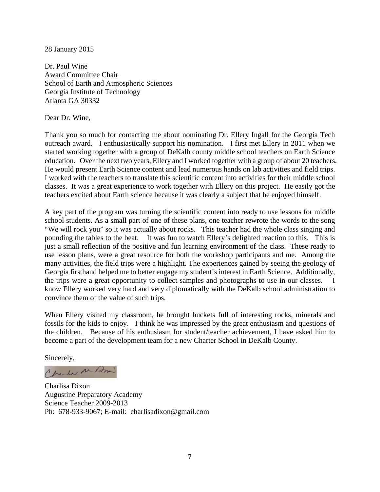#### 28 January 2015

Dr. Paul Wine Award Committee Chair School of Earth and Atmospheric Sciences Georgia Institute of Technology Atlanta GA 30332

Dear Dr. Wine,

Thank you so much for contacting me about nominating Dr. Ellery Ingall for the Georgia Tech outreach award. I enthusiastically support his nomination. I first met Ellery in 2011 when we started working together with a group of DeKalb county middle school teachers on Earth Science education. Over the next two years, Ellery and I worked together with a group of about 20 teachers. He would present Earth Science content and lead numerous hands on lab activities and field trips. I worked with the teachers to translate this scientific content into activities for their middle school classes. It was a great experience to work together with Ellery on this project. He easily got the teachers excited about Earth science because it was clearly a subject that he enjoyed himself.

A key part of the program was turning the scientific content into ready to use lessons for middle school students. As a small part of one of these plans, one teacher rewrote the words to the song "We will rock you" so it was actually about rocks. This teacher had the whole class singing and pounding the tables to the beat. It was fun to watch Ellery's delighted reaction to this. This is just a small reflection of the positive and fun learning environment of the class. These ready to use lesson plans, were a great resource for both the workshop participants and me. Among the many activities, the field trips were a highlight. The experiences gained by seeing the geology of Georgia firsthand helped me to better engage my student's interest in Earth Science. Additionally, the trips were a great opportunity to collect samples and photographs to use in our classes. I know Ellery worked very hard and very diplomatically with the DeKalb school administration to convince them of the value of such trips.

When Ellery visited my classroom, he brought buckets full of interesting rocks, minerals and fossils for the kids to enjoy. I think he was impressed by the great enthusiasm and questions of the children. Because of his enthusiasm for student/teacher achievement, I have asked him to become a part of the development team for a new Charter School in DeKalb County.

Sincerely,

Charles M Am

Charlisa Dixon Augustine Preparatory Academy Science Teacher 2009-2013 Ph: 678-933-9067; E-mail: charlisadixon@gmail.com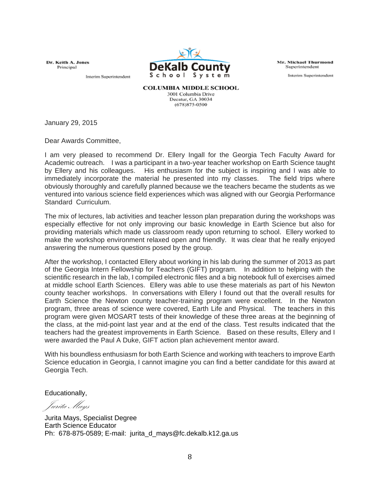Dr. Keith A. Jones Principal

Interim Superintendent



Mr. Michael Thurmond Superintendent

Interim Superintendent

**COLUMBIA MIDDLE SCHOOL** 3001 Columbia Drive Decatur. GA 30034 (678)875-0500

January 29, 2015

Dear Awards Committee,

I am very pleased to recommend Dr. Ellery Ingall for the Georgia Tech Faculty Award for Academic outreach. I was a participant in a two-year teacher workshop on Earth Science taught by Ellery and his colleagues. His enthusiasm for the subject is inspiring and I was able to immediately incorporate the material he presented into my classes. The field trips where obviously thoroughly and carefully planned because we the teachers became the students as we ventured into various science field experiences which was aligned with our Georgia Performance Standard Curriculum.

The mix of lectures, lab activities and teacher lesson plan preparation during the workshops was especially effective for not only improving our basic knowledge in Earth Science but also for providing materials which made us classroom ready upon returning to school. Ellery worked to make the workshop environment relaxed open and friendly. It was clear that he really enjoyed answering the numerous questions posed by the group.

After the workshop, I contacted Ellery about working in his lab during the summer of 2013 as part of the Georgia Intern Fellowship for Teachers (GIFT) program. In addition to helping with the scientific research in the lab, I compiled electronic files and a big notebook full of exercises aimed at middle school Earth Sciences. Ellery was able to use these materials as part of his Newton county teacher workshops. In conversations with Ellery I found out that the overall results for Earth Science the Newton county teacher-training program were excellent. In the Newton program, three areas of science were covered, Earth Life and Physical. The teachers in this program were given MOSART tests of their knowledge of these three areas at the beginning of the class, at the mid-point last year and at the end of the class. Test results indicated that the teachers had the greatest improvements in Earth Science. Based on these results, Ellery and I were awarded the Paul A Duke, GIFT action plan achievement mentor award.

With his boundless enthusiasm for both Earth Science and working with teachers to improve Earth Science education in Georgia, I cannot imagine you can find a better candidate for this award at Georgia Tech.

Educationally,

Jurita Mays

Jurita Mays, Specialist Degree Earth Science Educator Ph: 678-875-0589; E-mail: jurita\_d\_mays@fc.dekalb.k12.ga.us